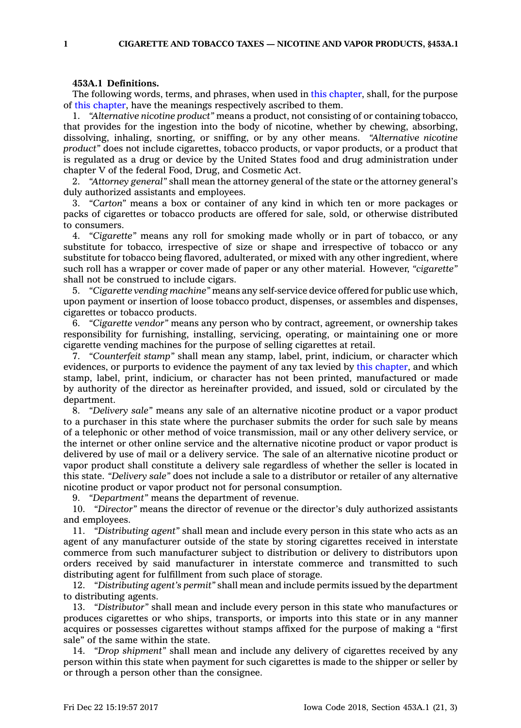## **453A.1 Definitions.**

The following words, terms, and phrases, when used in this [chapter](https://www.legis.iowa.gov/docs/code//453A.pdf), shall, for the purpose of this [chapter](https://www.legis.iowa.gov/docs/code//453A.pdf), have the meanings respectively ascribed to them.

1. *"Alternative nicotine product"* means <sup>a</sup> product, not consisting of or containing tobacco, that provides for the ingestion into the body of nicotine, whether by chewing, absorbing, dissolving, inhaling, snorting, or sniffing, or by any other means. *"Alternative nicotine product"* does not include cigarettes, tobacco products, or vapor products, or <sup>a</sup> product that is regulated as <sup>a</sup> drug or device by the United States food and drug administration under chapter V of the federal Food, Drug, and Cosmetic Act.

2. *"Attorney general"* shall mean the attorney general of the state or the attorney general's duly authorized assistants and employees.

3. *"Carton"* means <sup>a</sup> box or container of any kind in which ten or more packages or packs of cigarettes or tobacco products are offered for sale, sold, or otherwise distributed to consumers.

4. *"Cigarette"* means any roll for smoking made wholly or in part of tobacco, or any substitute for tobacco, irrespective of size or shape and irrespective of tobacco or any substitute for tobacco being flavored, adulterated, or mixed with any other ingredient, where such roll has <sup>a</sup> wrapper or cover made of paper or any other material. However, *"cigarette"* shall not be construed to include cigars.

5. *"Cigarette vending machine"* means any self-service device offered for public use which, upon payment or insertion of loose tobacco product, dispenses, or assembles and dispenses, cigarettes or tobacco products.

6. *"Cigarette vendor"* means any person who by contract, agreement, or ownership takes responsibility for furnishing, installing, servicing, operating, or maintaining one or more cigarette vending machines for the purpose of selling cigarettes at retail.

7. *"Counterfeit stamp"* shall mean any stamp, label, print, indicium, or character which evidences, or purports to evidence the payment of any tax levied by this [chapter](https://www.legis.iowa.gov/docs/code//453A.pdf), and which stamp, label, print, indicium, or character has not been printed, manufactured or made by authority of the director as hereinafter provided, and issued, sold or circulated by the department.

8. *"Delivery sale"* means any sale of an alternative nicotine product or <sup>a</sup> vapor product to <sup>a</sup> purchaser in this state where the purchaser submits the order for such sale by means of <sup>a</sup> telephonic or other method of voice transmission, mail or any other delivery service, or the internet or other online service and the alternative nicotine product or vapor product is delivered by use of mail or <sup>a</sup> delivery service. The sale of an alternative nicotine product or vapor product shall constitute <sup>a</sup> delivery sale regardless of whether the seller is located in this state. *"Delivery sale"* does not include <sup>a</sup> sale to <sup>a</sup> distributor or retailer of any alternative nicotine product or vapor product not for personal consumption.

9. *"Department"* means the department of revenue.

10. *"Director"* means the director of revenue or the director's duly authorized assistants and employees.

11. *"Distributing agent"* shall mean and include every person in this state who acts as an agent of any manufacturer outside of the state by storing cigarettes received in interstate commerce from such manufacturer subject to distribution or delivery to distributors upon orders received by said manufacturer in interstate commerce and transmitted to such distributing agent for fulfillment from such place of storage.

12. *"Distributing agent's permit"* shall mean and include permits issued by the department to distributing agents.

13. *"Distributor"* shall mean and include every person in this state who manufactures or produces cigarettes or who ships, transports, or imports into this state or in any manner acquires or possesses cigarettes without stamps affixed for the purpose of making <sup>a</sup> "first sale" of the same within the state.

14. *"Drop shipment"* shall mean and include any delivery of cigarettes received by any person within this state when payment for such cigarettes is made to the shipper or seller by or through <sup>a</sup> person other than the consignee.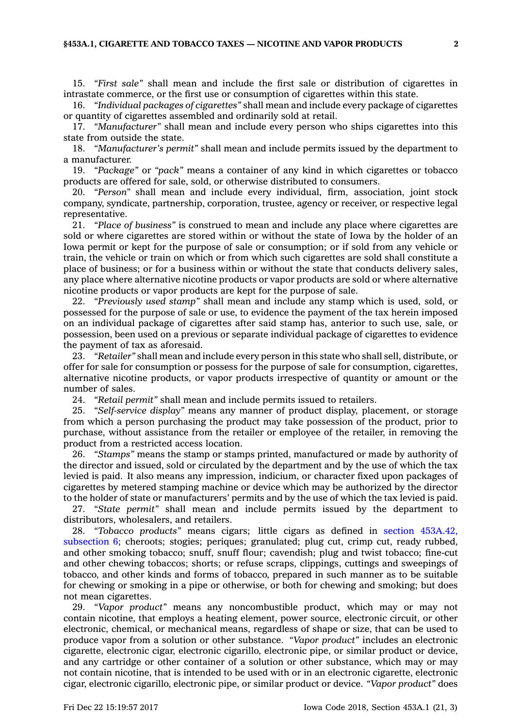15. *"First sale"* shall mean and include the first sale or distribution of cigarettes in intrastate commerce, or the first use or consumption of cigarettes within this state.

16. *"Individual packages of cigarettes"* shall mean and include every package of cigarettes or quantity of cigarettes assembled and ordinarily sold at retail.

17. *"Manufacturer"* shall mean and include every person who ships cigarettes into this state from outside the state.

18. *"Manufacturer's permit"* shall mean and include permits issued by the department to <sup>a</sup> manufacturer.

19. *"Package"* or *"pack"* means <sup>a</sup> container of any kind in which cigarettes or tobacco products are offered for sale, sold, or otherwise distributed to consumers.

20. *"Person"* shall mean and include every individual, firm, association, joint stock company, syndicate, partnership, corporation, trustee, agency or receiver, or respective legal representative.

21. *"Place of business"* is construed to mean and include any place where cigarettes are sold or where cigarettes are stored within or without the state of Iowa by the holder of an Iowa permit or kept for the purpose of sale or consumption; or if sold from any vehicle or train, the vehicle or train on which or from which such cigarettes are sold shall constitute <sup>a</sup> place of business; or for <sup>a</sup> business within or without the state that conducts delivery sales, any place where alternative nicotine products or vapor products are sold or where alternative nicotine products or vapor products are kept for the purpose of sale.

22. *"Previously used stamp"* shall mean and include any stamp which is used, sold, or possessed for the purpose of sale or use, to evidence the payment of the tax herein imposed on an individual package of cigarettes after said stamp has, anterior to such use, sale, or possession, been used on <sup>a</sup> previous or separate individual package of cigarettes to evidence the payment of tax as aforesaid.

23. *"Retailer"* shall mean and include every person in this state who shall sell, distribute, or offer for sale for consumption or possess for the purpose of sale for consumption, cigarettes, alternative nicotine products, or vapor products irrespective of quantity or amount or the number of sales.

24. *"Retail permit"* shall mean and include permits issued to retailers.

25. *"Self-service display"* means any manner of product display, placement, or storage from which <sup>a</sup> person purchasing the product may take possession of the product, prior to purchase, without assistance from the retailer or employee of the retailer, in removing the product from <sup>a</sup> restricted access location.

26. *"Stamps"* means the stamp or stamps printed, manufactured or made by authority of the director and issued, sold or circulated by the department and by the use of which the tax levied is paid. It also means any impression, indicium, or character fixed upon packages of cigarettes by metered stamping machine or device which may be authorized by the director to the holder of state or manufacturers' permits and by the use of which the tax levied is paid.

27. *"State permit"* shall mean and include permits issued by the department to distributors, wholesalers, and retailers.

28. *"Tobacco products"* means cigars; little cigars as defined in section [453A.42,](https://www.legis.iowa.gov/docs/code/453A.42.pdf) [subsection](https://www.legis.iowa.gov/docs/code/453A.42.pdf) 6; cheroots; stogies; periques; granulated; plug cut, crimp cut, ready rubbed, and other smoking tobacco; snuff, snuff flour; cavendish; plug and twist tobacco; fine-cut and other chewing tobaccos; shorts; or refuse scraps, clippings, cuttings and sweepings of tobacco, and other kinds and forms of tobacco, prepared in such manner as to be suitable for chewing or smoking in <sup>a</sup> pipe or otherwise, or both for chewing and smoking; but does not mean cigarettes.

29. *"Vapor product"* means any noncombustible product, which may or may not contain nicotine, that employs <sup>a</sup> heating element, power source, electronic circuit, or other electronic, chemical, or mechanical means, regardless of shape or size, that can be used to produce vapor from <sup>a</sup> solution or other substance. *"Vapor product"* includes an electronic cigarette, electronic cigar, electronic cigarillo, electronic pipe, or similar product or device, and any cartridge or other container of <sup>a</sup> solution or other substance, which may or may not contain nicotine, that is intended to be used with or in an electronic cigarette, electronic cigar, electronic cigarillo, electronic pipe, or similar product or device. *"Vapor product"* does